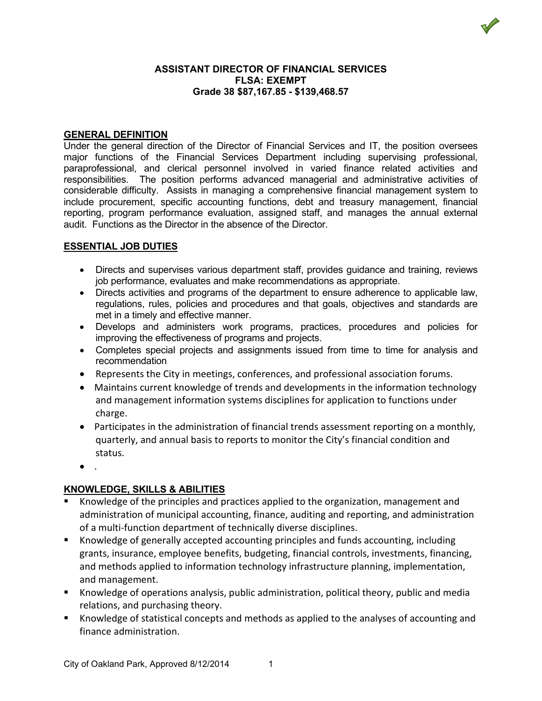

#### **ASSISTANT DIRECTOR OF FINANCIAL SERVICES FLSA: EXEMPT Grade 38 \$87,167.85 - \$139,468.57**

### **GENERAL DEFINITION**

Under the general direction of the Director of Financial Services and IT, the position oversees major functions of the Financial Services Department including supervising professional, paraprofessional, and clerical personnel involved in varied finance related activities and responsibilities. The position performs advanced managerial and administrative activities of considerable difficulty. Assists in managing a comprehensive financial management system to include procurement, specific accounting functions, debt and treasury management, financial reporting, program performance evaluation, assigned staff, and manages the annual external audit. Functions as the Director in the absence of the Director.

### **ESSENTIAL JOB DUTIES**

- Directs and supervises various department staff, provides guidance and training, reviews job performance, evaluates and make recommendations as appropriate.
- Directs activities and programs of the department to ensure adherence to applicable law, regulations, rules, policies and procedures and that goals, objectives and standards are met in a timely and effective manner.
- Develops and administers work programs, practices, procedures and policies for improving the effectiveness of programs and projects.
- Completes special projects and assignments issued from time to time for analysis and recommendation
- Represents the City in meetings, conferences, and professional association forums.
- Maintains current knowledge of trends and developments in the information technology and management information systems disciplines for application to functions under charge.
- Participates in the administration of financial trends assessment reporting on a monthly, quarterly, and annual basis to reports to monitor the City's financial condition and status.
- .

# **KNOWLEDGE, SKILLS & ABILITIES**

- Knowledge of the principles and practices applied to the organization, management and administration of municipal accounting, finance, auditing and reporting, and administration of a multi-function department of technically diverse disciplines.
- Knowledge of generally accepted accounting principles and funds accounting, including grants, insurance, employee benefits, budgeting, financial controls, investments, financing, and methods applied to information technology infrastructure planning, implementation, and management.
- Knowledge of operations analysis, public administration, political theory, public and media relations, and purchasing theory.
- Knowledge of statistical concepts and methods as applied to the analyses of accounting and finance administration.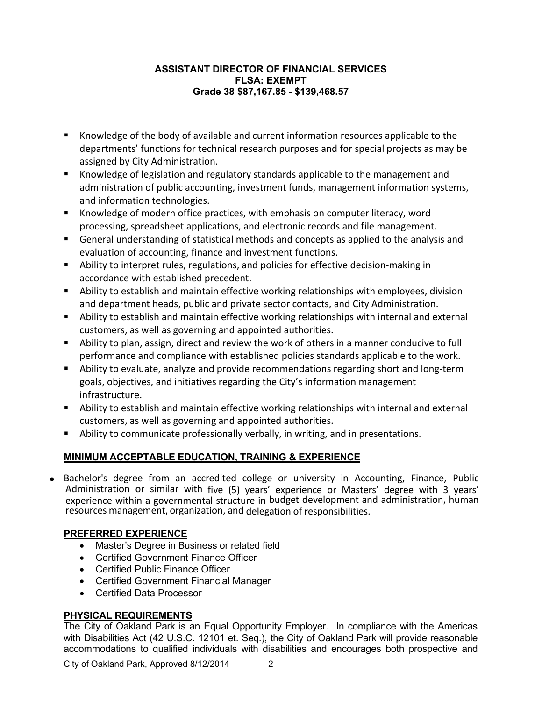### **ASSISTANT DIRECTOR OF FINANCIAL SERVICES FLSA: EXEMPT Grade 38 \$87,167.85 - \$139,468.57**

- Knowledge of the body of available and current information resources applicable to the departments' functions for technical research purposes and for special projects as may be assigned by City Administration.
- Knowledge of legislation and regulatory standards applicable to the management and administration of public accounting, investment funds, management information systems, and information technologies.
- Knowledge of modern office practices, with emphasis on computer literacy, word processing, spreadsheet applications, and electronic records and file management.
- General understanding of statistical methods and concepts as applied to the analysis and evaluation of accounting, finance and investment functions.
- Ability to interpret rules, regulations, and policies for effective decision-making in accordance with established precedent.
- Ability to establish and maintain effective working relationships with employees, division and department heads, public and private sector contacts, and City Administration.
- Ability to establish and maintain effective working relationships with internal and external customers, as well as governing and appointed authorities.
- Ability to plan, assign, direct and review the work of others in a manner conducive to full performance and compliance with established policies standards applicable to the work.
- Ability to evaluate, analyze and provide recommendations regarding short and long-term goals, objectives, and initiatives regarding the City's information management infrastructure.
- Ability to establish and maintain effective working relationships with internal and external customers, as well as governing and appointed authorities.
- Ability to communicate professionally verbally, in writing, and in presentations.

# **MINIMUM ACCEPTABLE EDUCATION, TRAINING & EXPERIENCE**

• Bachelor's degree from an accredited college or university in Accounting, Finance, Public Administration or similar with five (5) years' experience or Masters' degree with 3 years' experience within a governmental structure in budget development and administration, human resources management, organization, and delegation of responsibilities.

# **PREFERRED EXPERIENCE**

- Master's Degree in Business or related field
- Certified Government Finance Officer
- Certified Public Finance Officer
- Certified Government Financial Manager
- Certified Data Processor

# **PHYSICAL REQUIREMENTS**

The City of Oakland Park is an Equal Opportunity Employer. In compliance with the Americas with Disabilities Act (42 U.S.C. 12101 et. Seq.), the City of Oakland Park will provide reasonable accommodations to qualified individuals with disabilities and encourages both prospective and

City of Oakland Park, Approved 8/12/2014 2